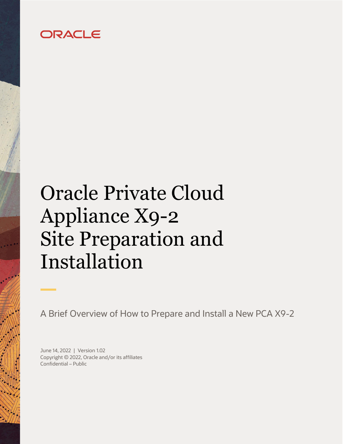# ORACLE

# <span id="page-0-0"></span>Oracle Private Cloud Appliance X9-2 Site Preparation and Installation

A Brief Overview of How to Prepare and Install a New PCA X9-2

<span id="page-0-3"></span><span id="page-0-2"></span><span id="page-0-1"></span>June 14, 2022 | Version 1.02 Copyright © 2022, Oracle and/or its affiliates Confidential – Public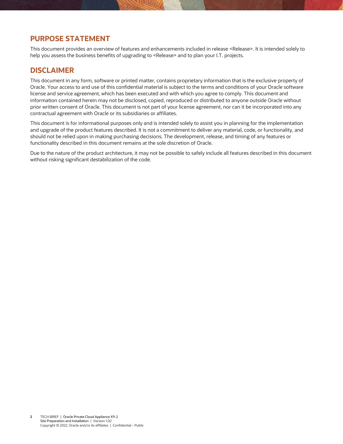## <span id="page-1-1"></span>**PURPOSE STATEMENT**

<span id="page-1-0"></span>This document provides an overview of features and enhancements included in release <Release>. It is intended solely to help you assess the business benefits of upgrading to [<Release>](#page-1-0) and to plan your I.T. projects.

### <span id="page-1-2"></span>**DISCLAIMER**

This document in any form, software or printed matter, contains proprietary information that is the exclusive property of Oracle. Your access to and use of this confidential material is subject to the terms and conditions of your Oracle software license and service agreement, which has been executed and with which you agree to comply. This document and information contained herein may not be disclosed, copied, reproduced or distributed to anyone outside Oracle without prior written consent of Oracle. This document is not part of your license agreement, nor can it be incorporated into any contractual agreement with Oracle or its subsidiaries or affiliates.

This document is for informational purposes only and is intended solely to assist you in planning for the implementation and upgrade of the product features described. It is not a commitment to deliver any material, code, or functionality, and should not be relied upon in making purchasing decisions. The development, release, and timing of any features or functionality described in this document remains at the sole discretion of Oracle.

Due to the nature of the product architecture, it may not be possible to safely include all features described in this document without risking significant destabilization of the code.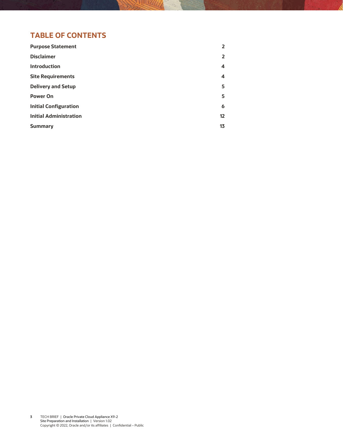# **TABLE OF CONTENTS**

| <b>Purpose Statement</b>      | 2  |
|-------------------------------|----|
| <b>Disclaimer</b>             | 2  |
| <b>Introduction</b>           | 4  |
| <b>Site Requirements</b>      | 4  |
| <b>Delivery and Setup</b>     | 5  |
| <b>Power On</b>               | 5  |
| <b>Initial Configuration</b>  | 6  |
| <b>Initial Administration</b> | 12 |
| <b>Summary</b>                | 13 |
|                               |    |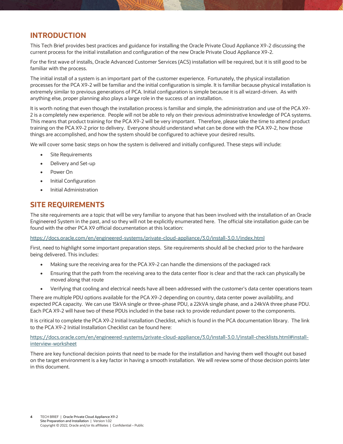# <span id="page-3-0"></span>**INTRODUCTION**

This Tech Brief provides best practices and guidance for installing the Oracle Private Cloud Appliance X9-2 discussing the current process for the initial installation and configuration of the new Oracle Private Cloud Appliance X9-2.

For the first wave of installs, Oracle Advanced Customer Services (ACS) installation will be required, but it is still good to be familiar with the process.

The initial install of a system is an important part of the customer experience. Fortunately, the physical installation processes for the PCA X9-2 will be familiar and the initial configuration is simple. It is familiar because physical installation is extremely similar to previous generations of PCA. Initial configuration is simple because it is all wizard-driven. As with anything else, proper planning also plays a large role in the success of an installation.

It is worth noting that even though the installation process is familiar and simple, the administration and use of the PCA X9- 2 is a completely new experience. People will not be able to rely on their previous administrative knowledge of PCA systems. This means that product training for the PCA X9-2 will be very important. Therefore, please take the time to attend product training on the PCA X9-2 prior to delivery. Everyone should understand what can be done with the PCA X9-2, how those things are accomplished, and how the system should be configured to achieve your desired results.

We will cover some basic steps on how the system is delivered and initially configured. These steps will include:

- Site Requirements
- Delivery and Set-up
- Power On
- Initial Configuration
- Initial Administration

#### <span id="page-3-1"></span>**SITE REQUIREMENTS**

The site requirements are a topic that will be very familiar to anyone that has been involved with the installation of an Oracle Engineered System in the past, and so they will not be explicitly enumerated here. The official site installation guide can be found with the other PCA X9 official documentation at this location:

<https://docs.oracle.com/en/engineered-systems/private-cloud-appliance/3.0/install-3.0.1/index.html>

First, need to highlight some important preparation steps. Site requirements should all be checked prior to the hardware being delivered. This includes:

- Making sure the receiving area for the PCA X9-2 can handle the dimensions of the packaged rack
- Ensuring that the path from the receiving area to the data center floor is clear and that the rack can physically be moved along that route
- Verifying that cooling and electrical needs have all been addressed with the customer's data center operations team

There are multiple PDU options available for the PCA X9-2 depending on country, data center power availability, and expected PCA capacity. We can use 15kVA single or three-phase PDU, a 22kVA single phase, and a 24kVA three phase PDU. Each PCA X9-2 will have two of these PDUs included in the base rack to provide redundant power to the components.

It is critical to complete the PCA X9-2 Initial Installation Checklist, which is found in the PCA documentation library. The link to the PCA X9-2 Initial Installation Checklist can be found here:

[https://docs.oracle.com/en/engineered-systems/private-cloud-appliance/3.0/install-3.0.1/install-checklists.html#install](https://docs.oracle.com/en/engineered-systems/private-cloud-appliance/3.0/install-3.0.1/install-checklists.html#install-interview-worksheet)[interview-worksheet](https://docs.oracle.com/en/engineered-systems/private-cloud-appliance/3.0/install-3.0.1/install-checklists.html#install-interview-worksheet)

<span id="page-3-2"></span>There are key functional decision points that need to be made for the installation and having them well thought out based on the target environment is a key factor in having a smooth installation. We will review some of those decision points later in this document.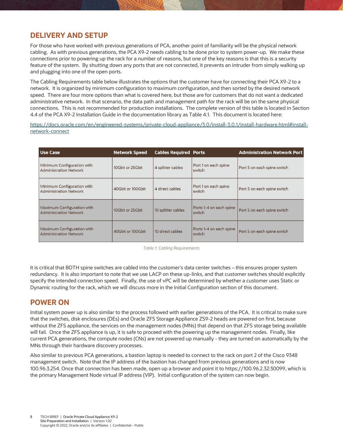#### **DELIVERY AND SETUP**

For those who have worked with previous generations of PCA, another point of familiarity will be the physical network cabling. As with previous generations, the PCA X9-2 needs cabling to be done prior to system power-up. We make these connections prior to powering up the rack for a number of reasons, but one of the key reasons is that this is a security feature of the system. By shutting down any ports that are not connected, it prevents an intruder from simply walking up and plugging into one of the open ports.

The Cabling Requirements table below illustrates the options that the customer have for connecting their PCA X9-2 to a network. It is organized by minimum configuration to maximum configuration, and then sorted by the desired network speed. There are four more options than what is covered here, but those are for customers that do not want a dedicated administrative network. In that scenario, the data path and management path for the rack will be on the same physical connections. This is not recommended for production installations. The complete version of this table is located in Section 4.4 of the PCA X9-2 Installation Guide in the documentation library as Table 4.1. This document is located here:

[https://docs.oracle.com/en/engineered-systems/private-cloud-appliance/3.0/install-3.0.1/install-hardware.html#install](https://docs.oracle.com/en/engineered-systems/private-cloud-appliance/3.0/install-3.0.1/install-hardware.html#install-network-connect)[network-connect](https://docs.oracle.com/en/engineered-systems/private-cloud-appliance/3.0/install-3.0.1/install-hardware.html#install-network-connect)

| <b>Use Case</b>                                                    | <b>Network Speed</b> | <b>Cables Required Ports</b> |                                   | <b>Administration Network Port</b> |
|--------------------------------------------------------------------|----------------------|------------------------------|-----------------------------------|------------------------------------|
| Minimum Configuration with<br><b>Administration Network</b>        | 10Gbit or 25Gbit     | 4 splitter cables            | Port 1 on each spine<br>switch    | Port 5 on each spine switch        |
| Minimum Configuration with<br><b>Administration Network</b>        | 40Gbit or 100Gbit    | 4 direct cables              | Port 1 on each spine<br>switch    | Port 5 on each spine switch        |
| <b>Maximum Configuration with</b><br><b>Administration Network</b> | 10Gbit or 25Gbit     | 10 splitter cables           | Ports 1-4 on each spine<br>switch | Port 5 on each spine switch        |
| Maximum Configuration with<br><b>Administration Network</b>        | 40Gbit or 100Gbit    | 10 direct cables             | Ports 1-4 on each spine<br>switch | Port 5 on each spine switch        |

*Table 1: Cabling Requirements*

It is critical that BOTH spine switches are cabled into the customer's data center switches – this ensures proper system redundancy. It is also important to note that we use LACP on these up-links, and that customer switches should explicitly specify the intended connection speed. Finally, the use of vPC will be determined by whether a customer uses Static or Dynamic routing for the rack, which we will discuss more in the Initial Configuration section of this document.

#### <span id="page-4-0"></span>**POWER ON**

Initial system power up is also similar to the process followed with earlier generations of the PCA. It is critical to make sure that the switches, disk enclosures (DEs) and Oracle ZFS Storage Appliance ZS9-2 heads are powered on first, because without the ZFS appliance, the services on the management nodes (MNs) that depend on that ZFS storage being available will fail. Once the ZFS appliance is up, it is safe to proceed with the powering up the management nodes. Finally, like current PCA generations, the compute nodes (CNs) are not powered up manually - they are turned on automatically by the MNs through their hardware discovery processes.

<span id="page-4-1"></span>Also similar to previous PCA generations, a bastion laptop is needed to connect to the rack on port 2 of the Cisco 9348 management switch. Note that the IP address of the bastion has changed from previous generations and is now 100.96.3.254. Once that connection has been made, open up a browser and point it to https://100.96.2.32:30099, which is the primary Management Node virtual IP address (VIP). Initial configuration of the system can now begin.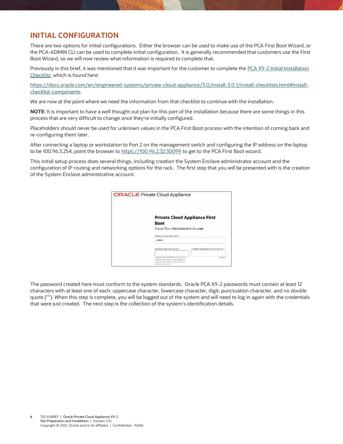# **INITIAL CONFIGURATION**

There are two options for initial configurations. Either the browser can be used to make use of the PCA First Boot Wizard, or the PCA-ADMIN CLI can be used to complete initial configuration. It is generally recommended that customers use the First Boot Wizard, so we will now review what information is required to complete that.

Previously in this brief, it was mentioned that it was important for the customer to complete the PCA X9-2 Initial Installation [Checklist,](https://docs.oracle.com/en/engineered-systems/private-cloud-appliance/3.0/install-3.0.1/install-checklists.html#install-checklist-components) which is found here:

[https://docs.oracle.com/en/engineered-systems/private-cloud-appliance/3.0/install-3.0.1/install-checklists.html#install](https://docs.oracle.com/en/engineered-systems/private-cloud-appliance/3.0/install-3.0.1/install-checklists.html#install-checklist-components)[checklist-components](https://docs.oracle.com/en/engineered-systems/private-cloud-appliance/3.0/install-3.0.1/install-checklists.html#install-checklist-components)

We are now at the point where we need the information from that checklist to continue with the installation.

**NOTE:** It is important to have a well thought out plan for this part of the installation because there are some things in this process that are very difficult to change once they're initially configured.

Placeholders should never be used for unknown values in the PCA First Boot process with the intention of coming back and re-configuring them later.

After connecting a laptop or workstation to Port 2 on the management switch and configuring the IP address on the laptop to be 100.96.3.254, point the browser t[o https://100.96.2.32:30099](https://100.96.2.32:30099/) to get to the PCA First Boot wizard.

This initial setup process does several things, including creation the System Enclave administrator account and the configuration of IP routing and networking options for the rack. The first step that you will be presented with is the creation of the System Enclave administrative account.

| <b>ORACLE</b> Private Cloud Appliance                                                                                                                               |
|---------------------------------------------------------------------------------------------------------------------------------------------------------------------|
| <b>Private Cloud Appliance First</b><br><b>Boot</b>                                                                                                                 |
|                                                                                                                                                                     |
| <b>Create Your Administrative Account</b>                                                                                                                           |
| Administrative Username                                                                                                                                             |
| admin                                                                                                                                                               |
|                                                                                                                                                                     |
| Confirm Administrative Password<br>Administrative Password *                                                                                                        |
|                                                                                                                                                                     |
| The password entered must be 12 or more<br>Reguleed<br>characters, and must contain at least one<br>uppercase and one lowercase character, a<br>cumber and a symbol |

The password created here must conform to the system standards. Oracle PCA X9-2 passwords must contain at least 12 characters with at least one of each: uppercase character, lowercase character, digit, punctuation character, and no double quote ('"'). When this step is complete, you will be logged out of the system and will need to log in again with the credentials that were just created. The next step is the collection of the system's identification details.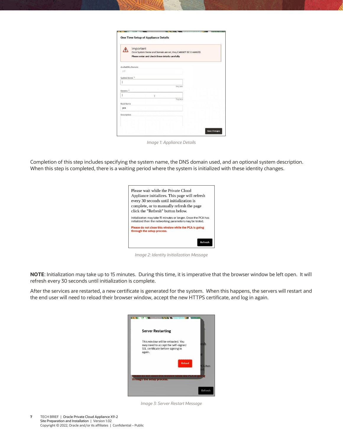|                          | Important<br>Once System Name and Domain are set, they CANNOT BE CHANGED.<br>Please enter and check these details carefully |              |          |  |
|--------------------------|-----------------------------------------------------------------------------------------------------------------------------|--------------|----------|--|
|                          | <b>Availability Domain</b>                                                                                                  |              |          |  |
| ad1                      |                                                                                                                             |              |          |  |
| System Name <sup>*</sup> |                                                                                                                             |              |          |  |
|                          |                                                                                                                             |              |          |  |
| Domain <sup>*</sup>      |                                                                                                                             |              | Required |  |
|                          |                                                                                                                             | $\mathbf{I}$ |          |  |
|                          |                                                                                                                             |              | Required |  |
| Rack Name                |                                                                                                                             |              |          |  |
| pca                      |                                                                                                                             |              |          |  |
| Description              |                                                                                                                             |              |          |  |
|                          |                                                                                                                             |              |          |  |

*Image 1: Appliance Details*

Completion of this step includes specifying the system name, the DNS domain used, and an optional system description. When this step is completed, there is a waiting period where the system is initialized with these identity changes.



*Image 2: Identity Initialization Message*

**NOTE**: Initialization may take up to 15 minutes. During this time, it is imperative that the browser window be left open. It will refresh every 30 seconds until initialization is complete.

After the services are restarted, a new certificate is generated for the system. When this happens, the servers will restart and the end user will need to reload their browser window, accept the new HTTPS certificate, and log in again.

| <b>Server Restarting</b>                                                                                               |                     |
|------------------------------------------------------------------------------------------------------------------------|---------------------|
| This window will be reloaded. You<br>may need to accept the self-signed<br>SSL certificate before signing in<br>again. | esh<br>۵            |
| <b>Reload</b>                                                                                                          | <b>CA has</b><br>ed |
| through the setup process.                                                                                             |                     |
|                                                                                                                        | Refresh             |

*Image 3: Server Restart Message*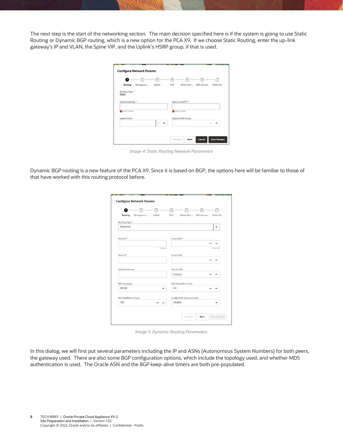The next step is the start of the networking section. The main decision specified here is if the system is going to use Static Routing or Dynamic BGP routing, which is a new option for the PCA X9. If we choose Static Routing, enter the up-link gateway's IP and VLAN, the Spine VIP, and the Uplink's HSRP group, if that is used.

| Ω                        | $\sqrt{2}$ | з                | ×   | ß                        | G                     | F          |
|--------------------------|------------|------------------|-----|--------------------------|-----------------------|------------|
| <b>Routing</b>           | Manageme   | Uplink           | NTP |                          | Admin Net DNS Servers | Public IPs |
| Routing Type *<br>Static |            |                  |     |                          |                       |            |
|                          |            |                  |     |                          |                       |            |
| Uplink Gateway *         |            |                  |     | Spine virtual IP *       |                       |            |
|                          |            |                  |     |                          |                       |            |
| C Enter a value.         |            |                  |     | S Enter a value.         |                       |            |
| <b>Uplink VLAN</b>       |            |                  |     | <b>Uplink HSRP Group</b> |                       |            |
|                          |            | $\sim$<br>$\sim$ |     |                          |                       | ∼          |
|                          |            |                  |     |                          |                       |            |

*Image 4: Static Routing Network Parameters*

Dynamic BGP routing is a new feature of the PCA X9. Since it is based on BGP, the options here will be familiar to those of that have worked with this routing protocol before.

| Uplink<br>Routing<br>Manageme | Admin Net DNS Servers<br><b>NTP</b> | Public IPs          |
|-------------------------------|-------------------------------------|---------------------|
| Routing Type *                |                                     |                     |
| Dynamid                       |                                     |                     |
|                               |                                     |                     |
| Peer1IP <sup>*</sup>          | Peer1 ASN <sup>*</sup>              |                     |
|                               | $\check{ }$                         | $\lambda$           |
| Regulred                      |                                     | Required            |
| Peer2 IP                      | Peer2 ASN                           |                     |
|                               |                                     |                     |
|                               |                                     |                     |
| <b>Uplink Gateway</b>         | Oracle ASN                          |                     |
|                               | 136025<br>$\checkmark$              |                     |
| <b>BGP</b> Topology           | <b>BGP KeepAlive Timer</b>          |                     |
| <b>MESH</b>                   | 60                                  | $\hat{\phantom{a}}$ |
| BGP HoldDown Timer            | <b>Enable MD5 Authentication</b>    |                     |
| 180<br>$\hat{\phantom{1}}$    | Disable                             |                     |

*Image 5: Dynamic Routing Parameters*

In this dialog, we will first put several parameters including the IP and ASNs (Autonomous System Numbers) for both peers, the gateway used. There are also some BGP configuration options, which include the topology used, and whether MD5 authentication is used. The Oracle ASN and the BGP keep-alive timers are both pre-populated.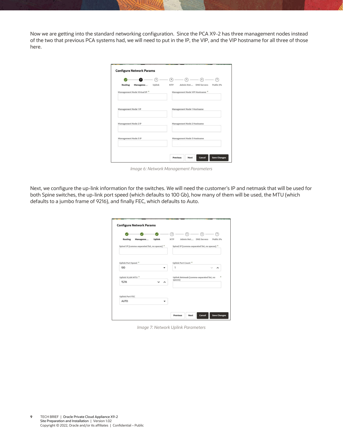Now we are getting into the standard networking configuration. Since the PCA X9-2 has three management nodes instead of the two that previous PCA systems had, we will need to put in the IP, the VIP, and the VIP hostname for all three of those here.

| 2<br>3                                                                          | ß<br>$\overline{4}$<br>$\overline{7}$<br>6<br>Admin Net<br><b>DNS Servers</b><br>Public IPs |  |  |
|---------------------------------------------------------------------------------|---------------------------------------------------------------------------------------------|--|--|
| <b>Routing</b><br>Uplink<br>Manageme<br>Management Node Virtual IP <sup>*</sup> | <b>NTP</b><br>Management Node VIP Hostname *                                                |  |  |
| Management Node 1 IP                                                            | Management Node 1 Hostname                                                                  |  |  |
| Management Node 2 IP                                                            | Management Node 2 Hostname                                                                  |  |  |
| Management Node 3 IP                                                            | Management Node 3 Hostname                                                                  |  |  |

*Image 6: Network Management Parameters*

Next, we configure the up-link information for the switches. We will need the customer's IP and netmask that will be used for both Spine switches, the up-link port speed (which defaults to 100 Gb), how many of them will be used, the MTU (which defaults to a jumbo frame of 9216), and finally FEC, which defaults to Auto.

| Routing<br>Manageme                           | <b>Uplink</b> | $\overline{4}$<br>$\overline{5}$<br><b>NTP</b> | 6<br>Admin Net DNS Servers                    | $\overline{7}$<br>Public IPs |
|-----------------------------------------------|---------------|------------------------------------------------|-----------------------------------------------|------------------------------|
| Spine1 IP [comma-separated list, no spaces] * |               |                                                | Spine2 IP [comma-separated list, no spaces] * |                              |
| Uplink Port Speed *                           |               | Uplink Port Count <sup>*</sup>                 |                                               |                              |
| 100                                           |               | $\overline{1}$                                 |                                               |                              |
| Uplink VLAN MTU *                             |               |                                                | Uplink Netmask [comma-separated list, no      |                              |
| 9,216                                         |               | spaces]                                        |                                               |                              |
|                                               |               |                                                |                                               |                              |
| <b>Uplink Port FEC</b>                        |               |                                                |                                               |                              |

*Image 7: Network Uplink Parameters*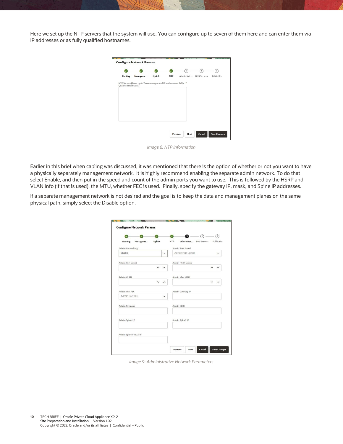Here we set up the NTP servers that the system will use. You can configure up to seven of them here and can enter them via IP addresses or as fully qualified hostnames.

|                     |                                                                    |               |            | ſs.                   | 6 | $\overline{7}$ |
|---------------------|--------------------------------------------------------------------|---------------|------------|-----------------------|---|----------------|
| <b>Routing</b>      | Manageme                                                           | <b>Uplink</b> | <b>NTP</b> | Admin Net DNS Servers |   | Public IPs     |
| Qualified Hostname) | NTP Servers (Enter up to 7 comma separated IP addresses or Fully * |               |            |                       |   |                |
|                     |                                                                    |               |            |                       |   |                |
|                     |                                                                    |               |            |                       |   |                |
|                     |                                                                    |               |            |                       |   |                |
|                     |                                                                    |               |            |                       |   |                |
|                     |                                                                    |               |            |                       |   |                |
|                     |                                                                    |               |            |                       |   |                |
|                     |                                                                    |               |            |                       |   |                |

*Image 8: NTP Information*

Earlier in this brief when cabling was discussed, it was mentioned that there is the option of whether or not you want to have a physically separately management network. It is highly recommend enabling the separate admin network. To do that select Enable, and then put in the speed and count of the admin ports you want to use. This is followed by the HSRP and VLAN info (if that is used), the MTU, whether FEC is used. Finally, specify the gateway IP, mask, and Spine IP addresses.

If a separate management network is not desired and the goal is to keep the data and management planes on the same physical path, simply select the Disable option.

|                                  |          |        |            | 6                     | $\circ$ | の          |
|----------------------------------|----------|--------|------------|-----------------------|---------|------------|
| Routing                          | Manageme | Uplink | <b>NTP</b> | Admin Net DNS Servers |         | Public IPs |
| Admin Networking                 |          |        |            | Admin Port Speed      |         |            |
| Enable                           |          |        |            | Admin Port Speed      |         |            |
| Admin Port Count                 |          |        |            | Admin HSRP Group      |         |            |
|                                  |          |        |            |                       |         |            |
| Admin VLAN                       |          |        |            | Admin Vlan MTU        |         |            |
|                                  |          |        |            |                       |         |            |
| Admin Port FEC<br>Admin Port FEC |          |        |            | Admin Gateway IP      |         |            |
| <b>Admin Netmask</b>             |          |        |            | Admin CIDR            |         |            |
| Admin Spine1 IP                  |          |        |            | Admin Spine2 IP       |         |            |
| Admin Spine Virtual IP           |          |        |            |                       |         |            |

*Image 9: Administrative Network Parameters*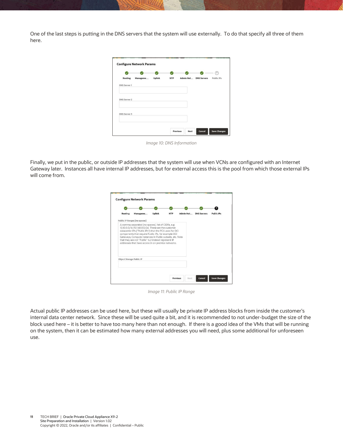One of the last steps is putting in the DNS servers that the system will use externally. To do that specify all three of them here.

|                     |          |        |            |                       | $\mathcal{T}$ |
|---------------------|----------|--------|------------|-----------------------|---------------|
| Routing             | Manageme | Uplink | <b>NTP</b> | Admin Net DNS Servers | Public IPs    |
| <b>DNS Server 1</b> |          |        |            |                       |               |
| <b>DNS Server 2</b> |          |        |            |                       |               |
| <b>DNS Server 3</b> |          |        |            |                       |               |
|                     |          |        |            |                       |               |

*Image 10: DNS Information*

Finally, we put in the public, or outside IP addresses that the system will use when VCNs are configured with an Internet Gateway later. Instances all have internal IP addresses, but for external access this is the pool from which those external IPs will come from.

| Routing                  | Manageme                                           | <b>Uplink</b> | <b>NTP</b> | Admin Net | <b>DNS Servers</b> | <b>Public IPs</b> |
|--------------------------|----------------------------------------------------|---------------|------------|-----------|--------------------|-------------------|
|                          | Public IP Ranges [no spaces]                       |               |            |           |                    |                   |
|                          | addresses that have access in on premise networks. |               |            |           |                    |                   |
| Object Storage Public IP |                                                    |               |            |           |                    |                   |

*Image 11: Public IP Range*

<span id="page-10-0"></span>Actual public IP addresses can be used here, but these will usually be private IP address blocks from inside the customer's internal data center network. Since these will be used quite a bit, and it is recommended to not under-budget the size of the block used here – it is better to have too many here than not enough. If there is a good idea of the VMs that will be running on the system, then it can be estimated how many external addresses you will need, plus some additional for unforeseen use.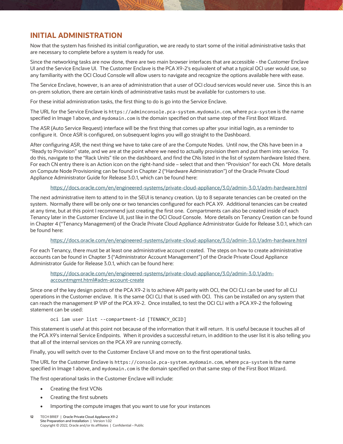## **INITIAL ADMINISTRATION**

Now that the system has finished its initial configuration, we are ready to start some of the initial administrative tasks that are necessary to complete before a system is ready for use.

Since the networking tasks are now done, there are two main browser interfaces that are accessible - the Customer Enclave UI and the Service Enclave UI. The Customer Enclave is the PCA X9-2's equivalent of what a typical OCI user would use, so any familiarity with the OCI Cloud Console will allow users to navigate and recognize the options available here with ease.

The Service Enclave, however, is an area of administration that a user of OCI cloud services would never use. Since this is an on-prem solution, there are certain kinds of administrative tasks must be available for customers to use.

For these initial administration tasks, the first thing to do is go into the Service Enclave.

The URL for the Service Enclave is https://adminconsole.pca-system.mydomain.com, where pca-system is the name specified in Image 1 above, and mydomain.com is the domain specified on that same step of the First Boot Wizard.

The ASR (Auto Service Request) interface will be the first thing that comes up after your initial login, as a reminder to configure it. Once ASR is configured, on subsequent logins you will go straight to the Dashboard.

After configuring ASR, the next thing we have to take care of are the Compute Nodes. Until now, the CNs have been in a "Ready to Provision" state, and we are at the point where we need to actually provision them and put them into service. To do this, navigate to the "Rack Units" tile on the dashboard, and find the CNs listed in the list of system hardware listed there. For each CN entry there is an Action icon on the right-hand side – select that and then "Provision" for each CN. More details on Compute Node Provisioning can be found in Chapter 2 ("Hardware Administration") of the Oracle Private Cloud Appliance Administrator Guide for Release 3.0.1, which can be found here:

#### <https://docs.oracle.com/en/engineered-systems/private-cloud-appliance/3.0/admin-3.0.1/adm-hardware.html>

The next administrative item to attend to in the SEUI is tenancy creation. Up to 8 separate tenancies can be created on the system. Normally there will be only one or two tenancies configured for each PCA X9. Additional tenancies can be created at any time, but at this point I recommend just creating the first one. Compartments can also be created inside of each Tenancy later in the Customer Enclave UI, just like in the OCI Cloud Console. More details on Tenancy Creation can be found in Chapter 4 ("Tenancy Management) of the Oracle Private Cloud Appliance Administrator Guide for Release 3.0.1, which can be found here:

#### <https://docs.oracle.com/en/engineered-systems/private-cloud-appliance/3.0/admin-3.0.1/adm-hardware.html>

For each Tenancy, there must be at least one administrative account created. The steps on how to create administrative accounts can be found in Chapter 3 ("Administrator Account Management") of the Oracle Private Cloud Appliance Administrator Guide for Release 3.0.1, which can be found here:

[https://docs.oracle.com/en/engineered-systems/private-cloud-appliance/3.0/admin-3.0.1/adm](https://docs.oracle.com/en/engineered-systems/private-cloud-appliance/3.0/admin-3.0.1/adm-accountmgmt.html#adm-account-create)[accountmgmt.html#adm-account-create](https://docs.oracle.com/en/engineered-systems/private-cloud-appliance/3.0/admin-3.0.1/adm-accountmgmt.html#adm-account-create)

Since one of the key design points of the PCA X9-2 is to achieve API parity with OCI, the OCI CLI can be used for all CLI operations in the Customer enclave. It is the same OCI CLI that is used with OCI. This can be installed on any system that can reach the management IP VIP of the PCA X9-2. Once installed, to test the OCI CLI with a PCA X9-2 the following statement can be used:

oci iam user list --compartment-id [TENANCY\_OCID]

This statement is useful at this point not because of the information that it will return. It is useful because it touches all of the PCA X9's internal Service Endpoints. When it provides a successful return, in addition to the user list it is also telling you that all of the internal services on the PCA X9 are running correctly.

Finally, you will switch over to the Customer Enclave UI and move on to the first operational tasks.

The URL for the Customer Enclave is https://console.pca-system.mydomain.com, where pca-system is the name specified in Image 1 above, and mydomain.com is the domain specified on that same step of the First Boot Wizard.

The first operational tasks in the Customer Enclave will include:

- Creating the first VCNs
- Creating the first subnets
- Importing the compute images that you want to use for your instances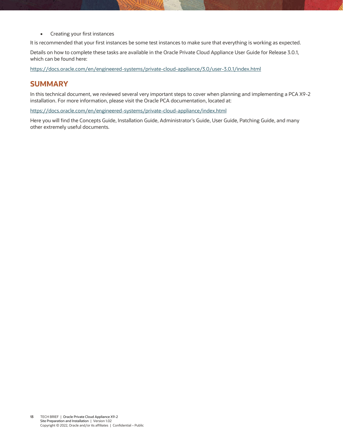<span id="page-12-0"></span>• Creating your first instances

It is recommended that your first instances be some test instances to make sure that everything is working as expected.

Details on how to complete these tasks are available in the Oracle Private Cloud Appliance User Guide for Release 3.0.1, which can be found here:

<https://docs.oracle.com/en/engineered-systems/private-cloud-appliance/3.0/user-3.0.1/index.html>

#### **SUMMARY**

In this technical document, we reviewed several very important steps to cover when planning and implementing a PCA X9-2 installation. For more information, please visit the Oracle PCA documentation, located at:

<https://docs.oracle.com/en/engineered-systems/private-cloud-appliance/index.html>

Here you will find the Concepts Guide, Installation Guide, Administrator's Guide, User Guide, Patching Guide, and many other extremely useful documents.